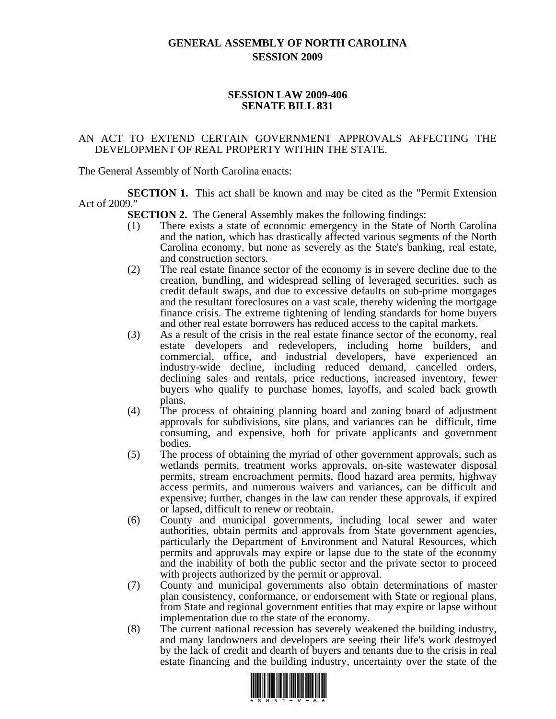## **GENERAL ASSEMBLY OF NORTH CAROLINA SESSION 2009**

## **SESSION LAW 2009-406 SENATE BILL 831**

## AN ACT TO EXTEND CERTAIN GOVERNMENT APPROVALS AFFECTING THE DEVELOPMENT OF REAL PROPERTY WITHIN THE STATE.

The General Assembly of North Carolina enacts:

**SECTION 1.** This act shall be known and may be cited as the "Permit Extension" Act of 2009."

**SECTION 2.** The General Assembly makes the following findings:

- (1) There exists a state of economic emergency in the State of North Carolina and the nation, which has drastically affected various segments of the North Carolina economy, but none as severely as the State's banking, real estate, and construction sectors.
- (2) The real estate finance sector of the economy is in severe decline due to the creation, bundling, and widespread selling of leveraged securities, such as credit default swaps, and due to excessive defaults on sub-prime mortgages and the resultant foreclosures on a vast scale, thereby widening the mortgage finance crisis. The extreme tightening of lending standards for home buyers and other real estate borrowers has reduced access to the capital markets.
- (3) As a result of the crisis in the real estate finance sector of the economy, real estate developers and redevelopers, including home builders, and commercial, office, and industrial developers, have experienced an industry-wide decline, including reduced demand, cancelled orders, declining sales and rentals, price reductions, increased inventory, fewer buyers who qualify to purchase homes, layoffs, and scaled back growth plans.
- (4) The process of obtaining planning board and zoning board of adjustment approvals for subdivisions, site plans, and variances can be difficult, time consuming, and expensive, both for private applicants and government bodies.
- (5) The process of obtaining the myriad of other government approvals, such as wetlands permits, treatment works approvals, on-site wastewater disposal permits, stream encroachment permits, flood hazard area permits, highway access permits, and numerous waivers and variances, can be difficult and expensive; further, changes in the law can render these approvals, if expired or lapsed, difficult to renew or reobtain.
- (6) County and municipal governments, including local sewer and water authorities, obtain permits and approvals from State government agencies, particularly the Department of Environment and Natural Resources, which permits and approvals may expire or lapse due to the state of the economy and the inability of both the public sector and the private sector to proceed with projects authorized by the permit or approval.
- (7) County and municipal governments also obtain determinations of master plan consistency, conformance, or endorsement with State or regional plans, from State and regional government entities that may expire or lapse without implementation due to the state of the economy.
- (8) The current national recession has severely weakened the building industry, and many landowners and developers are seeing their life's work destroyed by the lack of credit and dearth of buyers and tenants due to the crisis in real estate financing and the building industry, uncertainty over the state of the

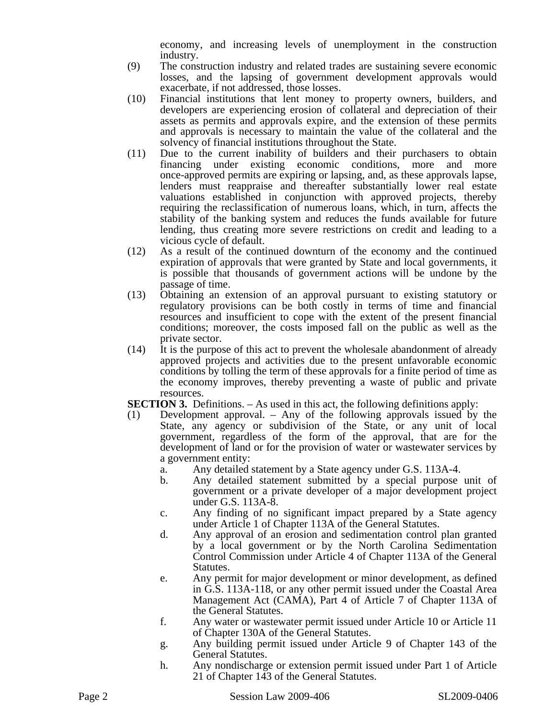economy, and increasing levels of unemployment in the construction industry.

- (9) The construction industry and related trades are sustaining severe economic losses, and the lapsing of government development approvals would exacerbate, if not addressed, those losses.
- (10) Financial institutions that lent money to property owners, builders, and developers are experiencing erosion of collateral and depreciation of their assets as permits and approvals expire, and the extension of these permits and approvals is necessary to maintain the value of the collateral and the solvency of financial institutions throughout the State.
- (11) Due to the current inability of builders and their purchasers to obtain financing under existing economic conditions, more and more once-approved permits are expiring or lapsing, and, as these approvals lapse, lenders must reappraise and thereafter substantially lower real estate valuations established in conjunction with approved projects, thereby requiring the reclassification of numerous loans, which, in turn, affects the stability of the banking system and reduces the funds available for future lending, thus creating more severe restrictions on credit and leading to a vicious cycle of default.
- (12) As a result of the continued downturn of the economy and the continued expiration of approvals that were granted by State and local governments, it is possible that thousands of government actions will be undone by the passage of time.
- (13) Obtaining an extension of an approval pursuant to existing statutory or regulatory provisions can be both costly in terms of time and financial resources and insufficient to cope with the extent of the present financial conditions; moreover, the costs imposed fall on the public as well as the private sector.
- (14) It is the purpose of this act to prevent the wholesale abandonment of already approved projects and activities due to the present unfavorable economic conditions by tolling the term of these approvals for a finite period of time as the economy improves, thereby preventing a waste of public and private resources.
- **SECTION 3.** Definitions. As used in this act, the following definitions apply:
- (1) Development approval. Any of the following approvals issued by the State, any agency or subdivision of the State, or any unit of local government, regardless of the form of the approval, that are for the development of land or for the provision of water or wastewater services by a government entity:
	- a. Any detailed statement by a State agency under G.S. 113A-4.
	- b. Any detailed statement submitted by a special purpose unit of government or a private developer of a major development project under G.S. 113A-8.
	- c. Any finding of no significant impact prepared by a State agency under Article 1 of Chapter 113A of the General Statutes.
	- d. Any approval of an erosion and sedimentation control plan granted by a local government or by the North Carolina Sedimentation Control Commission under Article 4 of Chapter 113A of the General Statutes.
	- e. Any permit for major development or minor development, as defined in G.S. 113A-118, or any other permit issued under the Coastal Area Management Act (CAMA), Part 4 of Article 7 of Chapter 113A of the General Statutes.
	- f. Any water or wastewater permit issued under Article 10 or Article 11 of Chapter 130A of the General Statutes.
	- g. Any building permit issued under Article 9 of Chapter 143 of the General Statutes.
	- h. Any nondischarge or extension permit issued under Part 1 of Article 21 of Chapter 143 of the General Statutes.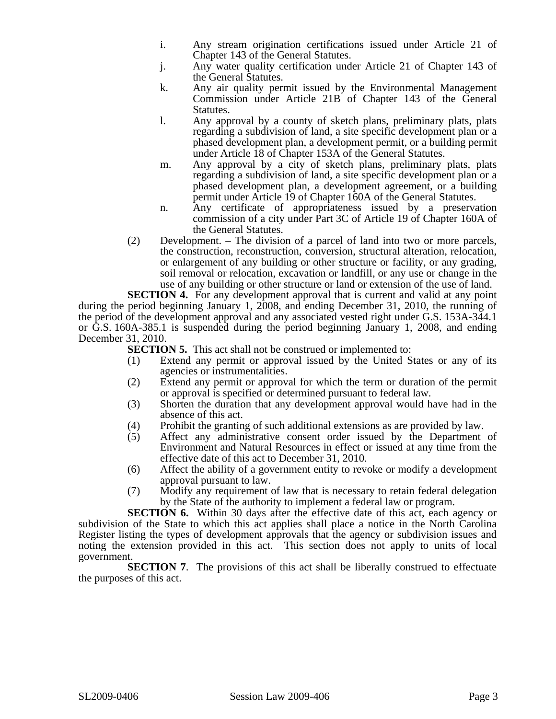- i. Any stream origination certifications issued under Article 21 of Chapter 143 of the General Statutes.
- j. Any water quality certification under Article 21 of Chapter 143 of the General Statutes.
- k. Any air quality permit issued by the Environmental Management Commission under Article 21B of Chapter 143 of the General Statutes.
- l. Any approval by a county of sketch plans, preliminary plats, plats regarding a subdivision of land, a site specific development plan or a phased development plan, a development permit, or a building permit under Article 18 of Chapter 153A of the General Statutes.
- m. Any approval by a city of sketch plans, preliminary plats, plats regarding a subdivision of land, a site specific development plan or a phased development plan, a development agreement, or a building permit under Article 19 of Chapter 160A of the General Statutes.
- n. Any certificate of appropriateness issued by a preservation commission of a city under Part 3C of Article 19 of Chapter 160A of the General Statutes.
- (2) Development. The division of a parcel of land into two or more parcels, the construction, reconstruction, conversion, structural alteration, relocation, or enlargement of any building or other structure or facility, or any grading, soil removal or relocation, excavation or landfill, or any use or change in the use of any building or other structure or land or extension of the use of land.

**SECTION 4.** For any development approval that is current and valid at any point during the period beginning January 1, 2008, and ending December 31, 2010, the running of the period of the development approval and any associated vested right under G.S. 153A-344.1 or G.S. 160A-385.1 is suspended during the period beginning January 1, 2008, and ending December 31, 2010.

**SECTION 5.** This act shall not be construed or implemented to:

- (1) Extend any permit or approval issued by the United States or any of its agencies or instrumentalities.
- (2) Extend any permit or approval for which the term or duration of the permit or approval is specified or determined pursuant to federal law.
- (3) Shorten the duration that any development approval would have had in the absence of this act.
- (4) Prohibit the granting of such additional extensions as are provided by law.
- (5) Affect any administrative consent order issued by the Department of Environment and Natural Resources in effect or issued at any time from the effective date of this act to December 31, 2010.
- (6) Affect the ability of a government entity to revoke or modify a development approval pursuant to law.
- (7) Modify any requirement of law that is necessary to retain federal delegation by the State of the authority to implement a federal law or program.

**SECTION 6.** Within 30 days after the effective date of this act, each agency or subdivision of the State to which this act applies shall place a notice in the North Carolina Register listing the types of development approvals that the agency or subdivision issues and noting the extension provided in this act. This section does not apply to units of local government.

**SECTION 7.** The provisions of this act shall be liberally construed to effectuate the purposes of this act.